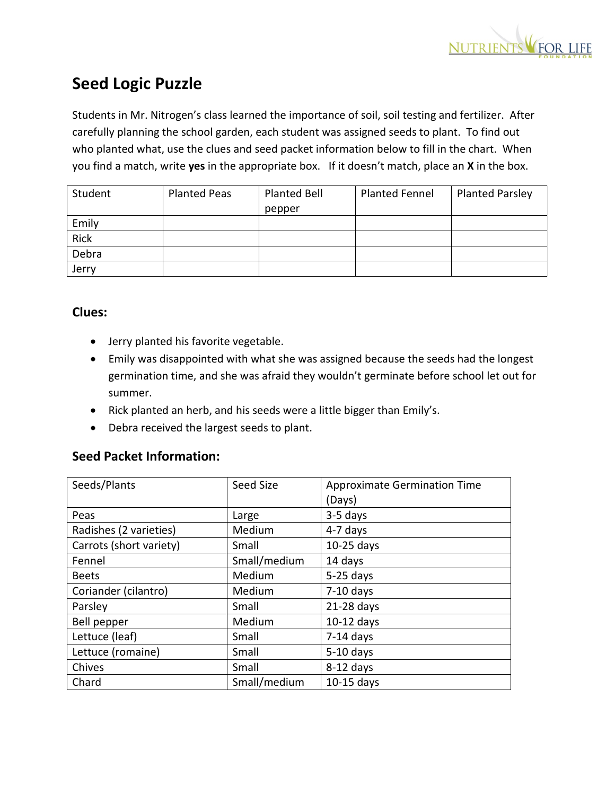

## **Seed Logic Puzzle**

Students in Mr. Nitrogen's class learned the importance of soil, soil testing and fertilizer. After carefully planning the school garden, each student was assigned seeds to plant. To find out who planted what, use the clues and seed packet information below to fill in the chart. When you find a match, write **yes** in the appropriate box. If it doesn't match, place an **X** in the box.

| Student | <b>Planted Peas</b> | <b>Planted Bell</b> | <b>Planted Fennel</b> | <b>Planted Parsley</b> |
|---------|---------------------|---------------------|-----------------------|------------------------|
|         |                     | pepper              |                       |                        |
| Emily   |                     |                     |                       |                        |
| Rick    |                     |                     |                       |                        |
| Debra   |                     |                     |                       |                        |
| Jerry   |                     |                     |                       |                        |

## **Clues:**

- Jerry planted his favorite vegetable.
- Emily was disappointed with what she was assigned because the seeds had the longest germination time, and she was afraid they wouldn't germinate before school let out for summer.
- Rick planted an herb, and his seeds were a little bigger than Emily's.
- Debra received the largest seeds to plant.

## **Seed Packet Information:**

| Seeds/Plants            | Seed Size    | <b>Approximate Germination Time</b> |
|-------------------------|--------------|-------------------------------------|
|                         |              | (Days)                              |
| Peas                    | Large        | $3-5$ days                          |
| Radishes (2 varieties)  | Medium       | 4-7 days                            |
| Carrots (short variety) | Small        | $10-25$ days                        |
| Fennel                  | Small/medium | 14 days                             |
| <b>Beets</b>            | Medium       | $5-25$ days                         |
| Coriander (cilantro)    | Medium       | $7-10$ days                         |
| Parsley                 | Small        | 21-28 days                          |
| Bell pepper             | Medium       | $10-12$ days                        |
| Lettuce (leaf)          | Small        | $7-14$ days                         |
| Lettuce (romaine)       | Small        | $5-10$ days                         |
| Chives                  | Small        | $8-12$ days                         |
| Chard                   | Small/medium | $10-15$ days                        |